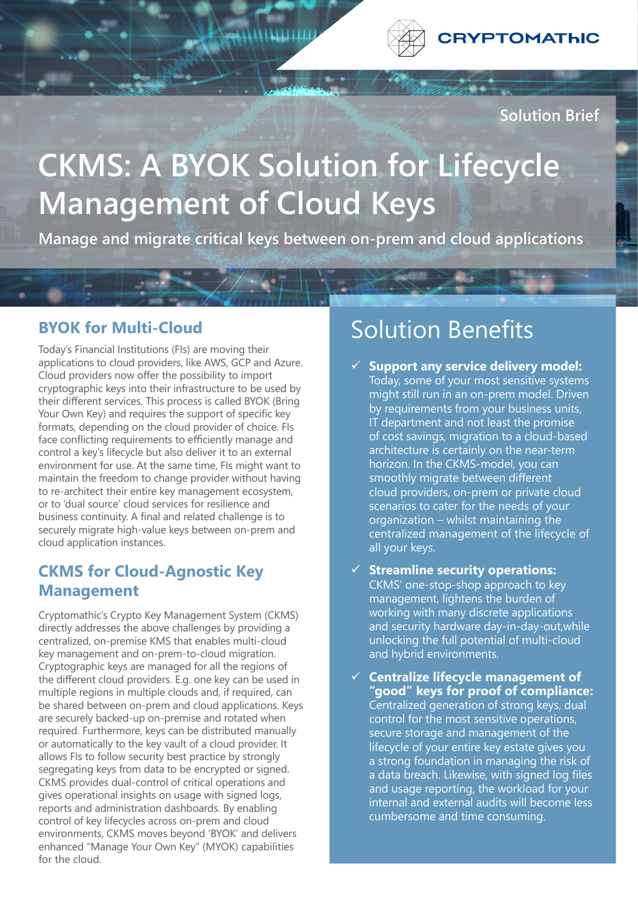

**Solution Brief**

# **CKMS: A BYOK Solution for Lifecycle Management of Cloud Keys**

**Manage and migrate critical keys between on-prem and cloud applications**

#### **BYOK for Multi-Cloud**

Today's Financial Institutions (FIs) are moving their applications to cloud providers, like AWS, GCP and Azure. Cloud providers now offer the possibility to import cryptographic keys into their infrastructure to be used by their different services. This process is called BYOK (Bring Your Own Key) and requires the support of specific key formats, depending on the cloud provider of choice. FIs face conflicting requirements to efficiently manage and control a key's lifecycle but also deliver it to an external environment for use. At the same time, FIs might want to maintain the freedom to change provider without having to re-architect their entire key management ecosystem, or to 'dual source' cloud services for resilience and business continuity. A final and related challenge is to securely migrate high-value keys between on-prem and cloud application instances.

### **CKMS for Cloud-Agnostic Key Management**

Cryptomathic's Crypto Key Management System (CKMS) directly addresses the above challenges by providing a centralized, on-premise KMS that enables multi-cloud key management and on-prem-to-cloud migration. Cryptographic keys are managed for all the regions of the different cloud providers. E.g. one key can be used in multiple regions in multiple clouds and, if required, can be shared between on-prem and cloud applications. Keys are securely backed-up on-premise and rotated when required. Furthermore, keys can be distributed manually or automatically to the key vault of a cloud provider. It allows FIs to follow security best practice by strongly segregating keys from data to be encrypted or signed. CKMS provides dual-control of critical operations and gives operational insights on usage with signed logs, reports and administration dashboards. By enabling control of key lifecycles across on-prem and cloud environments, CKMS moves beyond 'BYOK' and delivers enhanced "Manage Your Own Key" (MYOK) capabilities for the cloud.

## Solution Benefits

- **Support any service delivery model:** Today, some of your most sensitive systems might still run in an on-prem model. Driven by requirements from your business units, IT department and not least the promise of cost savings, migration to a cloud-based architecture is certainly on the near-term horizon. In the CKMS-model, you can smoothly migrate between different cloud providers, on-prem or private cloud scenarios to cater for the needs of your organization – whilst maintaining the centralized management of the lifecycle of all your keys.
- ü **Streamline security operations:** CKMS' one-stop-shop approach to key management, lightens the burden of working with many discrete applications and security hardware day-in-day-out,while unlocking the full potential of multi-cloud and hybrid environments.
- ü **Centralize lifecycle management of "good" keys for proof of compliance:** Centralized generation of strong keys, dual control for the most sensitive operations, secure storage and management of the lifecycle of your entire key estate gives you a strong foundation in managing the risk of a data breach. Likewise, with signed log files and usage reporting, the workload for your internal and external audits will become less cumbersome and time consuming.